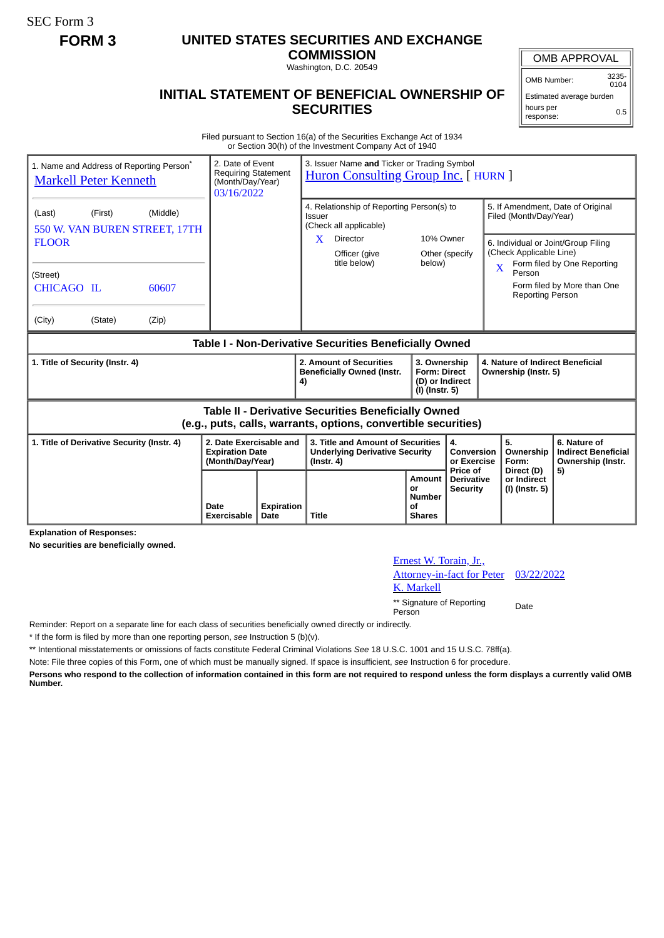SEC Form 3

## **FORM 3 UNITED STATES SECURITIES AND EXCHANGE**

**COMMISSION** Washington, D.C. 20549

## **INITIAL STATEMENT OF BENEFICIAL OWNERSHIP OF SECURITIES**

OMB Number: 3235-  $0104$ 

Estimated average burden hours per response: 0.5

Filed pursuant to Section 16(a) of the Securities Exchange Act of 1934 or Section 30(h) of the Investment Company Act of 1940

| 1. Name and Address of Reporting Person <sup>*</sup><br><b>Markell Peter Kenneth</b>                                  |                    |                                                             | 2. Date of Event<br><b>Requiring Statement</b><br>(Month/Day/Year)<br>03/16/2022 |              | 3. Issuer Name and Ticker or Trading Symbol<br><b>Huron Consulting Group Inc.</b> [ HURN ]                                      |                                                                          |                                             |                                                                                                                                                          |                                                                                                 |  |
|-----------------------------------------------------------------------------------------------------------------------|--------------------|-------------------------------------------------------------|----------------------------------------------------------------------------------|--------------|---------------------------------------------------------------------------------------------------------------------------------|--------------------------------------------------------------------------|---------------------------------------------|----------------------------------------------------------------------------------------------------------------------------------------------------------|-------------------------------------------------------------------------------------------------|--|
| (Last)<br><b>FLOOR</b><br>(Street)<br>CHICAGO IL<br>(City)                                                            | (First)<br>(State) | (Middle)<br>550 W. VAN BUREN STREET, 17TH<br>60607<br>(Zip) |                                                                                  |              | 4. Relationship of Reporting Person(s) to<br>Issuer<br>(Check all applicable)<br>Director<br>X<br>Officer (give<br>title below) | 10% Owner<br>below)                                                      | Other (specify                              | Filed (Month/Day/Year)<br>6. Individual or Joint/Group Filing<br>(Check Applicable Line)<br>$\overline{\mathbf{X}}$<br>Person<br><b>Reporting Person</b> | 5. If Amendment, Date of Original<br>Form filed by One Reporting<br>Form filed by More than One |  |
| Table I - Non-Derivative Securities Beneficially Owned                                                                |                    |                                                             |                                                                                  |              |                                                                                                                                 |                                                                          |                                             |                                                                                                                                                          |                                                                                                 |  |
| 1. Title of Security (Instr. 4)                                                                                       |                    |                                                             |                                                                                  |              | 2. Amount of Securities<br><b>Beneficially Owned (Instr.</b><br>4)                                                              | 3. Ownership<br><b>Form: Direct</b><br>(D) or Indirect<br>(I) (Instr. 5) |                                             | 4. Nature of Indirect Beneficial<br>Ownership (Instr. 5)                                                                                                 |                                                                                                 |  |
| Table II - Derivative Securities Beneficially Owned<br>(e.g., puts, calls, warrants, options, convertible securities) |                    |                                                             |                                                                                  |              |                                                                                                                                 |                                                                          |                                             |                                                                                                                                                          |                                                                                                 |  |
| 1. Title of Derivative Security (Instr. 4)                                                                            |                    |                                                             | 2. Date Exercisable and<br><b>Expiration Date</b><br>(Month/Day/Year)            |              | 3. Title and Amount of Securities<br><b>Underlying Derivative Security</b><br>$($ lnstr. 4 $)$                                  |                                                                          | 4.<br><b>Conversion</b><br>or Exercise      | 5.<br>Ownership<br>Form:                                                                                                                                 | 6. Nature of<br><b>Indirect Beneficial</b><br>Ownership (Instr.                                 |  |
|                                                                                                                       |                    | Date<br>Exercisable                                         | Expiration<br>Date                                                               | <b>Title</b> | <b>Amount</b><br>or<br><b>Number</b><br>of<br><b>Shares</b>                                                                     | <b>Price of</b><br><b>Derivative</b><br><b>Security</b>                  | Direct (D)<br>or Indirect<br>(I) (Instr. 5) | 5)                                                                                                                                                       |                                                                                                 |  |

**Explanation of Responses:**

**No securities are beneficially owned.**

| Ernest W. Torain, Jr.,                |      |
|---------------------------------------|------|
| Attorney-in-fact for Peter 03/22/2022 |      |
| K. Markell                            |      |
| ** Signature of Reporting<br>Person   | Date |

Reminder: Report on a separate line for each class of securities beneficially owned directly or indirectly.

\* If the form is filed by more than one reporting person, *see* Instruction 5 (b)(v).

\*\* Intentional misstatements or omissions of facts constitute Federal Criminal Violations *See* 18 U.S.C. 1001 and 15 U.S.C. 78ff(a).

Note: File three copies of this Form, one of which must be manually signed. If space is insufficient, *see* Instruction 6 for procedure.

**Persons who respond to the collection of information contained in this form are not required to respond unless the form displays a currently valid OMB Number.**

## OMB APPROVAL